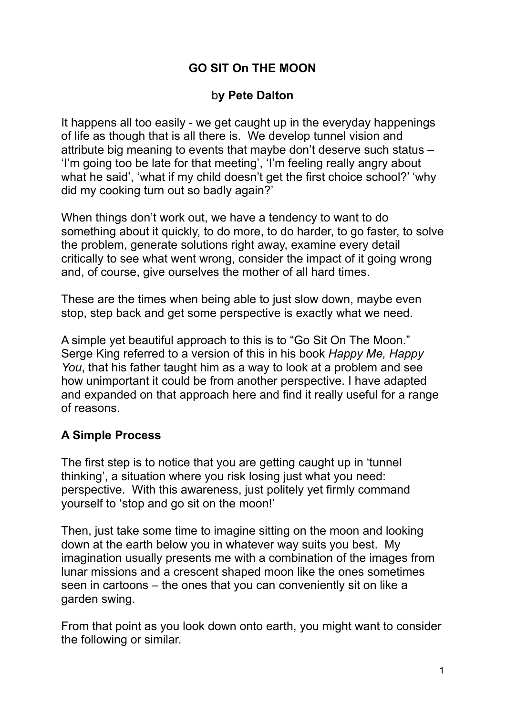### **GO SIT On THE MOON**

#### b**y Pete Dalton**

It happens all too easily - we get caught up in the everyday happenings of life as though that is all there is. We develop tunnel vision and attribute big meaning to events that maybe don't deserve such status – 'I'm going too be late for that meeting', 'I'm feeling really angry about what he said', 'what if my child doesn't get the first choice school?' 'why did my cooking turn out so badly again?'

When things don't work out, we have a tendency to want to do something about it quickly, to do more, to do harder, to go faster, to solve the problem, generate solutions right away, examine every detail critically to see what went wrong, consider the impact of it going wrong and, of course, give ourselves the mother of all hard times.

These are the times when being able to just slow down, maybe even stop, step back and get some perspective is exactly what we need.

A simple yet beautiful approach to this is to "Go Sit On The Moon." Serge King referred to a version of this in his book *Happy Me, Happy You*, that his father taught him as a way to look at a problem and see how unimportant it could be from another perspective. I have adapted and expanded on that approach here and find it really useful for a range of reasons.

### **A Simple Process**

The first step is to notice that you are getting caught up in 'tunnel thinking', a situation where you risk losing just what you need: perspective. With this awareness, just politely yet firmly command yourself to 'stop and go sit on the moon!'

Then, just take some time to imagine sitting on the moon and looking down at the earth below you in whatever way suits you best. My imagination usually presents me with a combination of the images from lunar missions and a crescent shaped moon like the ones sometimes seen in cartoons – the ones that you can conveniently sit on like a garden swing.

From that point as you look down onto earth, you might want to consider the following or similar.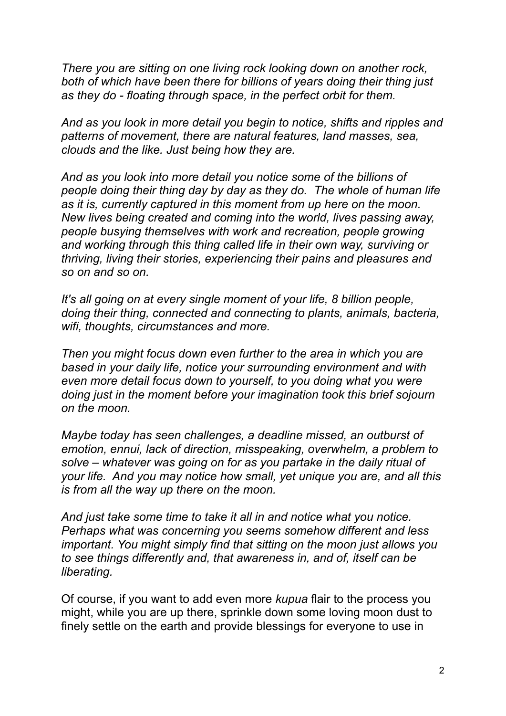*There you are sitting on one living rock looking down on another rock, both of which have been there for billions of years doing their thing just as they do - floating through space, in the perfect orbit for them.* 

*And as you look in more detail you begin to notice, shifts and ripples and patterns of movement, there are natural features, land masses, sea, clouds and the like. Just being how they are.* 

*And as you look into more detail you notice some of the billions of people doing their thing day by day as they do. The whole of human life as it is, currently captured in this moment from up here on the moon. New lives being created and coming into the world, lives passing away, people busying themselves with work and recreation, people growing and working through this thing called life in their own way, surviving or thriving, living their stories, experiencing their pains and pleasures and so on and so on.* 

*It's all going on at every single moment of your life, 8 billion people, doing their thing, connected and connecting to plants, animals, bacteria, wifi, thoughts, circumstances and more.* 

*Then you might focus down even further to the area in which you are based in your daily life, notice your surrounding environment and with even more detail focus down to yourself, to you doing what you were doing just in the moment before your imagination took this brief sojourn on the moon.* 

*Maybe today has seen challenges, a deadline missed, an outburst of emotion, ennui, lack of direction, misspeaking, overwhelm, a problem to solve – whatever was going on for as you partake in the daily ritual of your life. And you may notice how small, yet unique you are, and all this is from all the way up there on the moon.* 

*And just take some time to take it all in and notice what you notice. Perhaps what was concerning you seems somehow different and less important. You might simply find that sitting on the moon just allows you to see things differently and, that awareness in, and of, itself can be liberating.* 

Of course, if you want to add even more *kupua* flair to the process you might, while you are up there, sprinkle down some loving moon dust to finely settle on the earth and provide blessings for everyone to use in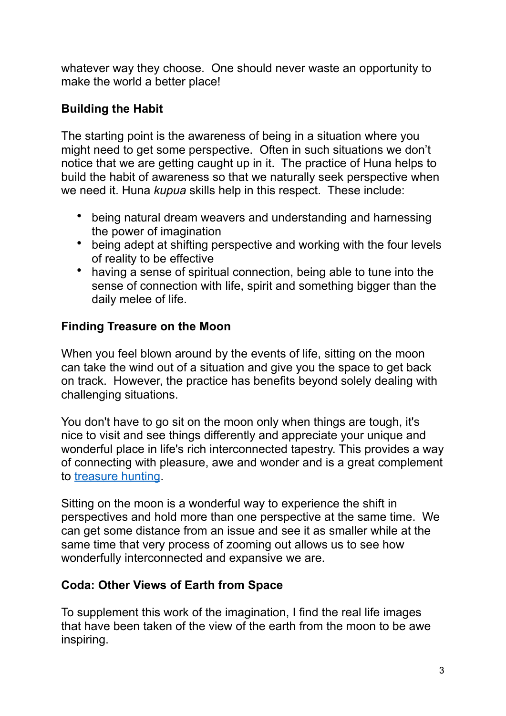whatever way they choose. One should never waste an opportunity to make the world a better place!

# **Building the Habit**

The starting point is the awareness of being in a situation where you might need to get some perspective. Often in such situations we don't notice that we are getting caught up in it. The practice of Huna helps to build the habit of awareness so that we naturally seek perspective when we need it. Huna *kupua* skills help in this respect. These include:

- being natural dream weavers and understanding and harnessing the power of imagination
- being adept at shifting perspective and working with the four levels of reality to be effective
- having a sense of spiritual connection, being able to tune into the sense of connection with life, spirit and something bigger than the daily melee of life.

# **Finding Treasure on the Moon**

When you feel blown around by the events of life, sitting on the moon can take the wind out of a situation and give you the space to get back on track. However, the practice has benefits beyond solely dealing with challenging situations.

You don't have to go sit on the moon only when things are tough, it's nice to visit and see things differently and appreciate your unique and wonderful place in life's rich interconnected tapestry. This provides a way of connecting with pleasure, awe and wonder and is a great complement to [treasure hunting.](https://www.urbanhuna.org/were-going-on-a-huna-treasure-hunt/)

Sitting on the moon is a wonderful way to experience the shift in perspectives and hold more than one perspective at the same time. We can get some distance from an issue and see it as smaller while at the same time that very process of zooming out allows us to see how wonderfully interconnected and expansive we are.

# **Coda: Other Views of Earth from Space**

To supplement this work of the imagination, I find the real life images that have been taken of the view of the earth from the moon to be awe inspiring.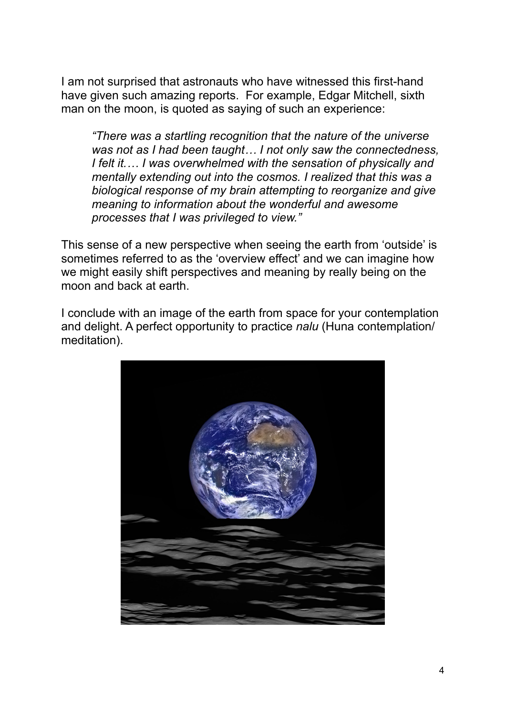I am not surprised that astronauts who have witnessed this first-hand have given such amazing reports. For example, Edgar Mitchell, sixth man on the moon, is quoted as saying of such an experience:

*"There was a startling recognition that the nature of the universe was not as I had been taught… I not only saw the connectedness, I felt it.… I was overwhelmed with the sensation of physically and mentally extending out into the cosmos. I realized that this was a biological response of my brain attempting to reorganize and give meaning to information about the wonderful and awesome processes that I was privileged to view."* 

This sense of a new perspective when seeing the earth from 'outside' is sometimes referred to as the 'overview effect' and we can imagine how we might easily shift perspectives and meaning by really being on the moon and back at earth.

I conclude with an image of the earth from space for your contemplation and delight. A perfect opportunity to practice *nalu* (Huna contemplation/ meditation).